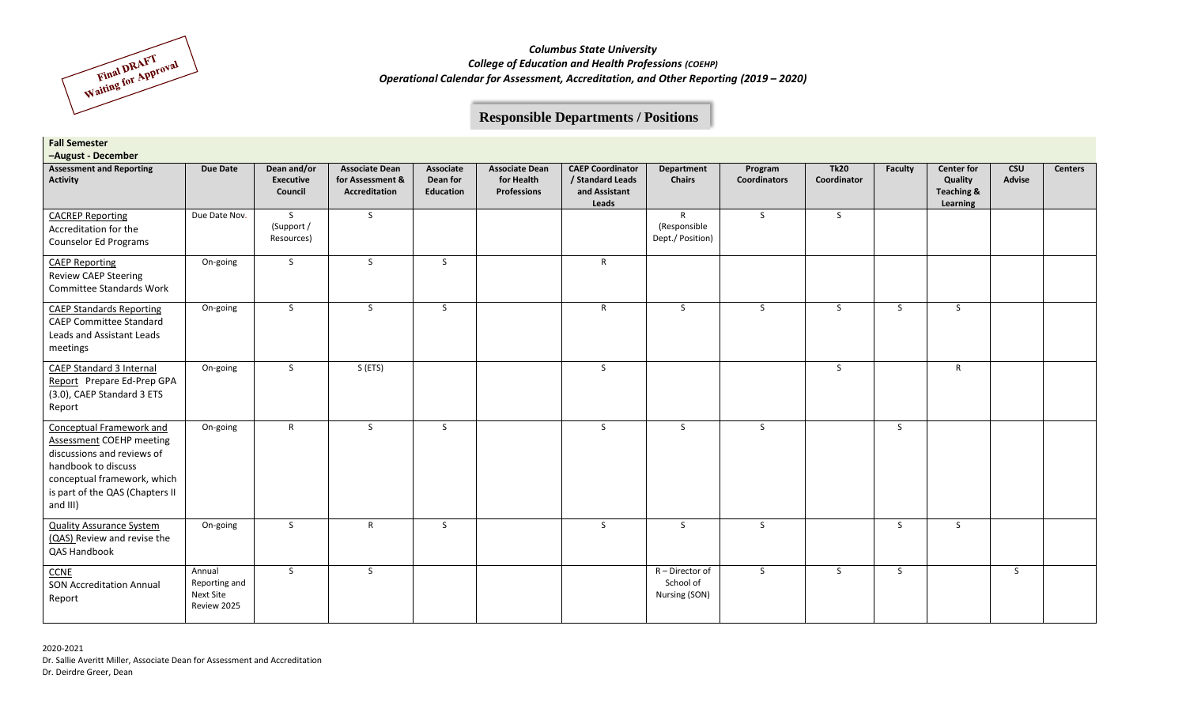

# **Responsible Departments / Positions**

| <b>Fall Semester</b><br>-August - December                                                                                                                                                            |                                                            |                                          |                                                            |                                           |                                                    |                                                                       |                                                  |                                |                            |         |                                                                   |                      |                |
|-------------------------------------------------------------------------------------------------------------------------------------------------------------------------------------------------------|------------------------------------------------------------|------------------------------------------|------------------------------------------------------------|-------------------------------------------|----------------------------------------------------|-----------------------------------------------------------------------|--------------------------------------------------|--------------------------------|----------------------------|---------|-------------------------------------------------------------------|----------------------|----------------|
| <b>Assessment and Reporting</b><br><b>Activity</b>                                                                                                                                                    | <b>Due Date</b>                                            | Dean and/or<br>Executive<br>Council      | <b>Associate Dean</b><br>for Assessment &<br>Accreditation | Associate<br>Dean for<br><b>Education</b> | <b>Associate Dean</b><br>for Health<br>Professions | <b>CAEP Coordinator</b><br>/ Standard Leads<br>and Assistant<br>Leads | <b>Department</b><br><b>Chairs</b>               | Program<br><b>Coordinators</b> | <b>Tk20</b><br>Coordinator | Faculty | <b>Center for</b><br>Quality<br><b>Teaching &amp;</b><br>Learning | <b>CSU</b><br>Advise | <b>Centers</b> |
| <b>CACREP Reporting</b><br>Accreditation for the<br>Counselor Ed Programs                                                                                                                             | Due Date Nov.                                              | $\mathsf{S}$<br>(Support /<br>Resources) | S                                                          |                                           |                                                    |                                                                       | $\mathsf{R}$<br>(Responsible<br>Dept./ Position) | S                              | S                          |         |                                                                   |                      |                |
| <b>CAEP Reporting</b><br><b>Review CAEP Steering</b><br>Committee Standards Work                                                                                                                      | On-going                                                   | S.                                       | S.                                                         | S.                                        |                                                    | R                                                                     |                                                  |                                |                            |         |                                                                   |                      |                |
| <b>CAEP Standards Reporting</b><br><b>CAEP Committee Standard</b><br>Leads and Assistant Leads<br>meetings                                                                                            | On-going                                                   | S.                                       | S.                                                         | $\mathsf{S}$                              |                                                    | $\mathsf{R}$                                                          | <sub>S</sub>                                     | S.                             | S.                         | S.      | S.                                                                |                      |                |
| <b>CAEP Standard 3 Internal</b><br>Report Prepare Ed-Prep GPA<br>(3.0), CAEP Standard 3 ETS<br>Report                                                                                                 | On-going                                                   | $\mathsf{S}$                             | S(ETS)                                                     |                                           |                                                    | S.                                                                    |                                                  |                                | <sub>S</sub>               |         | $\mathsf{R}$                                                      |                      |                |
| <b>Conceptual Framework and</b><br><b>Assessment COEHP meeting</b><br>discussions and reviews of<br>handbook to discuss<br>conceptual framework, which<br>is part of the QAS (Chapters II<br>and III) | On-going                                                   | $\mathsf{R}$                             | S                                                          | $\mathsf{S}$                              |                                                    | S.                                                                    | S.                                               | S                              |                            | S.      |                                                                   |                      |                |
| <b>Quality Assurance System</b><br>(QAS) Review and revise the<br>QAS Handbook                                                                                                                        | On-going                                                   | S                                        | $\mathsf{R}$                                               | S                                         |                                                    | S                                                                     | S                                                | S                              |                            | S       | S.                                                                |                      |                |
| CCNE<br><b>SON Accreditation Annual</b><br>Report                                                                                                                                                     | Annual<br>Reporting and<br><b>Next Site</b><br>Review 2025 | S.                                       | S                                                          |                                           |                                                    |                                                                       | R-Director of<br>School of<br>Nursing (SON)      | S.                             | S.                         | S.      |                                                                   | S                    |                |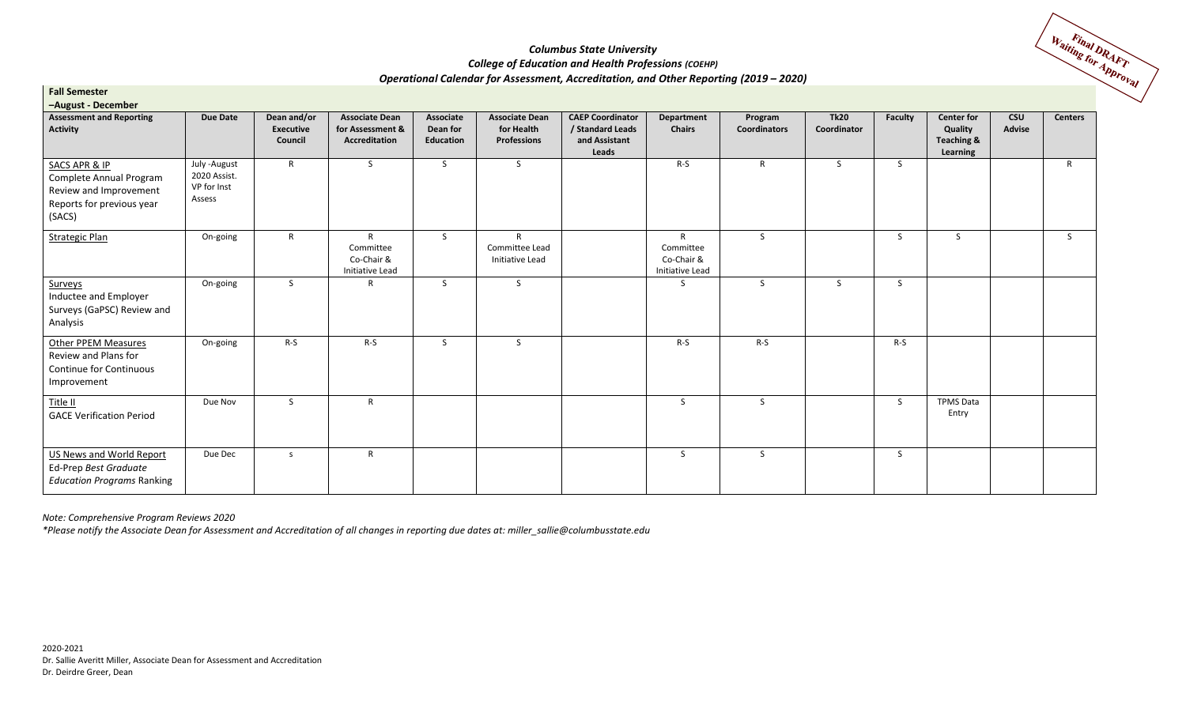

| <b>Fall Semester</b>                                                                                                 |                                                        |                                            |                                                            |                                           |                                                           |                                                                       |                                                            |                                |                            |                |                                                        |               |                |
|----------------------------------------------------------------------------------------------------------------------|--------------------------------------------------------|--------------------------------------------|------------------------------------------------------------|-------------------------------------------|-----------------------------------------------------------|-----------------------------------------------------------------------|------------------------------------------------------------|--------------------------------|----------------------------|----------------|--------------------------------------------------------|---------------|----------------|
| -August - December<br><b>Assessment and Reporting</b><br><b>Activity</b>                                             | <b>Due Date</b>                                        | Dean and/or<br><b>Executive</b><br>Council | <b>Associate Dean</b><br>for Assessment &<br>Accreditation | Associate<br>Dean for<br><b>Education</b> | <b>Associate Dean</b><br>for Health<br><b>Professions</b> | <b>CAEP Coordinator</b><br>/ Standard Leads<br>and Assistant<br>Leads | Department<br><b>Chairs</b>                                | Program<br><b>Coordinators</b> | <b>Tk20</b><br>Coordinator | <b>Faculty</b> | <b>Center for</b><br>Quality<br>Teaching &<br>Learning | CSU<br>Advise | <b>Centers</b> |
| <b>SACS APR &amp; IP</b><br>Complete Annual Program<br>Review and Improvement<br>Reports for previous year<br>(SACS) | July - August<br>2020 Assist.<br>VP for Inst<br>Assess | $\mathsf{R}$                               | S.                                                         | S                                         | S.                                                        |                                                                       | $R-S$                                                      | $\mathsf{R}$                   | S.                         | S.             |                                                        |               | $\mathsf{R}$   |
| <b>Strategic Plan</b>                                                                                                | On-going                                               | $\mathsf{R}$                               | $\mathsf{R}$<br>Committee<br>Co-Chair &<br>Initiative Lead | S                                         | R<br>Committee Lead<br>Initiative Lead                    |                                                                       | $\mathsf{R}$<br>Committee<br>Co-Chair &<br>Initiative Lead | S.                             |                            | $\mathsf{S}$   | S                                                      |               | S.             |
| Surveys<br>Inductee and Employer<br>Surveys (GaPSC) Review and<br>Analysis                                           | On-going                                               | S.                                         | $\mathsf{R}$                                               | S                                         | S.                                                        |                                                                       | S.                                                         | S                              | S.                         | S.             |                                                        |               |                |
| <b>Other PPEM Measures</b><br>Review and Plans for<br>Continue for Continuous<br>Improvement                         | On-going                                               | $R-S$                                      | $R-S$                                                      | S                                         | S.                                                        |                                                                       | $R-S$                                                      | $R-S$                          |                            | $R-S$          |                                                        |               |                |
| Title II<br><b>GACE Verification Period</b>                                                                          | Due Nov                                                | S                                          | $\mathsf{R}$                                               |                                           |                                                           |                                                                       | S                                                          | S                              |                            | S.             | <b>TPMS Data</b><br>Entry                              |               |                |
| <b>US News and World Report</b><br>Ed-Prep Best Graduate<br><b>Education Programs Ranking</b>                        | Due Dec                                                | S.                                         | $\mathsf{R}$                                               |                                           |                                                           |                                                                       | S                                                          | S.                             |                            | <sub>S</sub>   |                                                        |               |                |

*Note: Comprehensive Program Reviews 2020*

*\*Please notify the Associate Dean for Assessment and Accreditation of all changes in reporting due dates at: miller\_sallie@columbusstate.edu*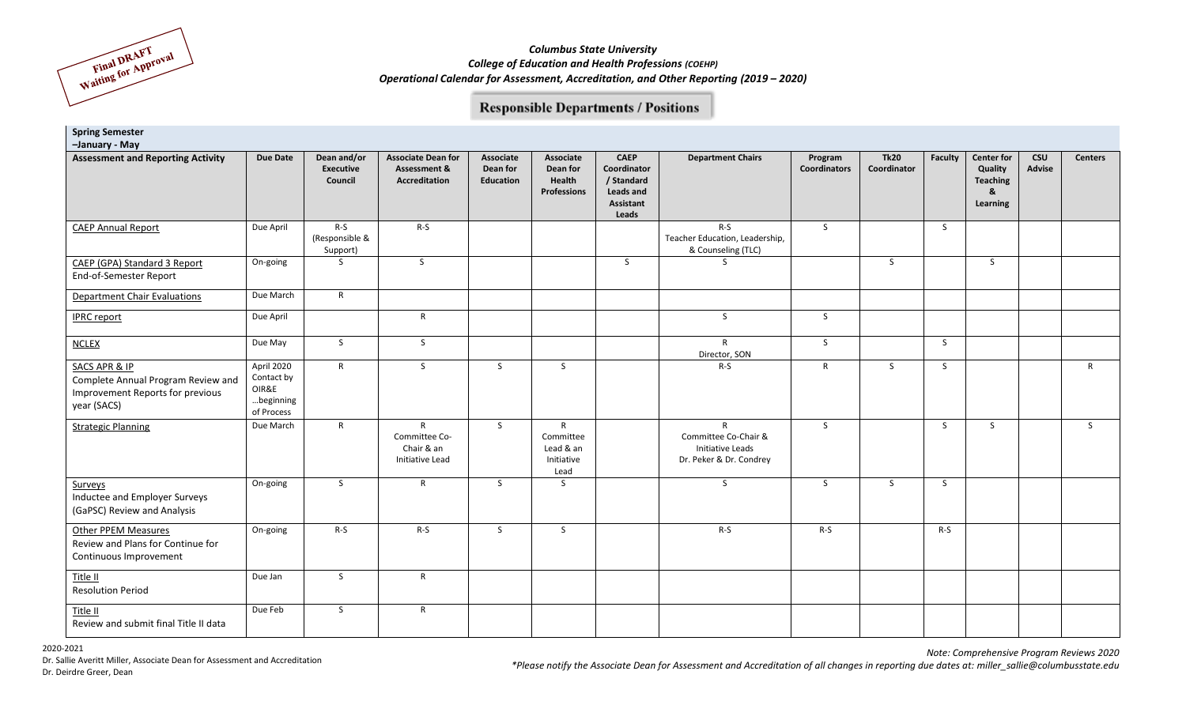

### **Responsible Departments / Positions**

| <b>Spring Semester</b><br>-January - May                                                                          |                                                              |                                     |                                                                       |                                           |                                                              |                                                                             |                                                                                            |                                |                            |                |                                                                  |                      |                |
|-------------------------------------------------------------------------------------------------------------------|--------------------------------------------------------------|-------------------------------------|-----------------------------------------------------------------------|-------------------------------------------|--------------------------------------------------------------|-----------------------------------------------------------------------------|--------------------------------------------------------------------------------------------|--------------------------------|----------------------------|----------------|------------------------------------------------------------------|----------------------|----------------|
| <b>Assessment and Reporting Activity</b>                                                                          | <b>Due Date</b>                                              | Dean and/or<br>Executive<br>Council | <b>Associate Dean for</b><br><b>Assessment &amp;</b><br>Accreditation | <b>Associate</b><br>Dean for<br>Education | Associate<br>Dean for<br>Health<br><b>Professions</b>        | <b>CAEP</b><br>Coordinator<br>/ Standard<br>Leads and<br>Assistant<br>Leads | <b>Department Chairs</b>                                                                   | Program<br><b>Coordinators</b> | <b>Tk20</b><br>Coordinator | <b>Faculty</b> | <b>Center for</b><br>Quality<br><b>Teaching</b><br>&<br>Learning | <b>CSU</b><br>Advise | <b>Centers</b> |
| <b>CAEP Annual Report</b>                                                                                         | Due April                                                    | $R-S$<br>(Responsible &<br>Support) | $R-S$                                                                 |                                           |                                                              |                                                                             | $R-S$<br>Teacher Education, Leadership,<br>& Counseling (TLC)                              | S                              |                            | S.             |                                                                  |                      |                |
| CAEP (GPA) Standard 3 Report<br>End-of-Semester Report                                                            | On-going                                                     | S                                   | S                                                                     |                                           |                                                              | S                                                                           | <sub>S</sub>                                                                               |                                | S                          |                | <sub>S</sub>                                                     |                      |                |
| <b>Department Chair Evaluations</b>                                                                               | Due March                                                    | $\mathsf{R}$                        |                                                                       |                                           |                                                              |                                                                             |                                                                                            |                                |                            |                |                                                                  |                      |                |
| <b>IPRC</b> report                                                                                                | Due April                                                    |                                     | $\mathsf{R}$                                                          |                                           |                                                              |                                                                             | $\mathsf{S}$                                                                               | S                              |                            |                |                                                                  |                      |                |
| <b>NCLEX</b>                                                                                                      | Due May                                                      | <sub>S</sub>                        | $\mathsf{S}$                                                          |                                           |                                                              |                                                                             | $\mathsf{R}$<br>Director, SON                                                              | $\mathsf{S}$                   |                            | S              |                                                                  |                      |                |
| <b>SACS APR &amp; IP</b><br>Complete Annual Program Review and<br>Improvement Reports for previous<br>year (SACS) | April 2020<br>Contact by<br>OIR&E<br>beginning<br>of Process | $\mathsf{R}$                        | S                                                                     | $\mathsf{S}$                              | $\mathsf{S}$                                                 |                                                                             | $R-S$                                                                                      | $\mathsf{R}$                   | S                          | S              |                                                                  |                      | $\mathsf{R}$   |
| <b>Strategic Planning</b>                                                                                         | Due March                                                    | $\mathsf{R}$                        | $\mathsf{R}$<br>Committee Co-<br>Chair & an<br>Initiative Lead        | S.                                        | $\mathsf{R}$<br>Committee<br>Lead & an<br>Initiative<br>Lead |                                                                             | $\mathsf{R}$<br>Committee Co-Chair &<br><b>Initiative Leads</b><br>Dr. Peker & Dr. Condrey | S                              |                            | S              | S.                                                               |                      | S              |
| Surveys<br>Inductee and Employer Surveys<br>(GaPSC) Review and Analysis                                           | On-going                                                     | S.                                  | $\mathsf{R}$                                                          | S                                         | $\mathsf{S}$                                                 |                                                                             | $\mathsf{S}$                                                                               | S                              | S                          | S              |                                                                  |                      |                |
| <b>Other PPEM Measures</b><br>Review and Plans for Continue for<br>Continuous Improvement                         | On-going                                                     | $R-S$                               | $R-S$                                                                 | <sub>S</sub>                              | S.                                                           |                                                                             | $R-S$                                                                                      | $R-S$                          |                            | $R-S$          |                                                                  |                      |                |
| Title II<br><b>Resolution Period</b>                                                                              | Due Jan                                                      | S.                                  | $\mathsf{R}$                                                          |                                           |                                                              |                                                                             |                                                                                            |                                |                            |                |                                                                  |                      |                |
| Title II<br>Review and submit final Title II data                                                                 | Due Feb                                                      | S.                                  | $\mathsf{R}$                                                          |                                           |                                                              |                                                                             |                                                                                            |                                |                            |                |                                                                  |                      |                |

*\*Please notify the Associate Dean for Assessment and Accreditation of all changes in reporting due dates at: miller\_sallie@columbusstate.edu*

*Note: Comprehensive Program Reviews 2020*